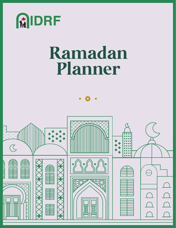

# **Ramadan Planner**

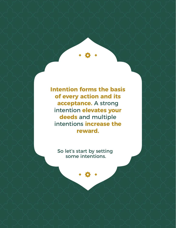**Intention forms the basis of every action and its acceptance.** A strong intention **elevates your deeds** and multiple intentions **increase the reward.** 

So let's start by setting some intentions.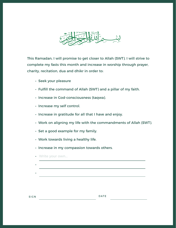

This Ramadan, I will promise to get closer to Allah (SWT). I will strive to complete my fasts this month and increase in worship through prayer, charity, recitation, dua and dhikr in order to:

- Seek your pleasure
- Fulfill the command of Allah (SWT) and a pillar of my faith.
- Increase in God-consciousness (taqwa).
- Increase my self control.
- Increase in gratitude for all that I have and enjoy.
- Work on aligning my life with the commandments of Allah (SWT).
- Set a good example for my family.
- Work towards living a healthy life.
- Increase in my compassion towards others.
- Write your own...
- •

SIGN DATE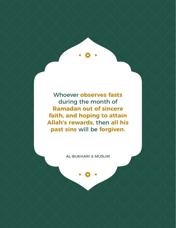Whoever **observes fasts**  during the month of **Ramadan out of sincere faith, and hoping to attain Allah's rewards,** then **all his past sins** will be **forgiven.**

AL-BUKHARI & MUSLIM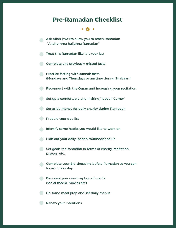## **Pre-Ramadan Checklist**

 $\bullet$  . The set of  $\bullet$ 

**Ask Allah (swt) to allow you to reach Ramadan** "Allahumma balighna Ramadan"

**Treat this Ramadan like it is your last** 

**Complete any previously missed fasts** 

**Practice fasting with sunnah fasts** (Mondays and Thursdays or anytime during Shabaan)

Reconnect with the Quran and increasing your recitation

Set up a comfortable and inviting "Ibadah Corner"

Set aside money for daily charity during Ramadan

**Prepare your dua list** 

**IDENTIFY SOME habits you would like to work on** 

**Plan out your daily ibadah routine/schedule** 

 $\blacksquare$  Set goals for Ramadan in terms of charity, recitation, prayers, etc.

**Complete your Eid shopping before Ramadan so you can** focus on worship

**Decrease your consumption of media** (social media, movies etc)

Do some meal prep and set daily menus

**Renew your intentions**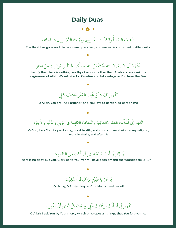## **Daily Duas**

ذَهَبَ الظّمَأُ وَابْتَلّتِ العُـروق وَثَبَتَ الأَجْـرُ إِنْ شاءَ الله َ َ ََّ **الله على المناسب المناسب المناسب المناسب المناسب المناسب المناسب المناسب المناسب المناسب المناسب المناسب المن** ُ َ

The thirst has gone and the veins are quenched, and reward is confirmed, if Allah wills

### أَشْهَدُ أن لا إلهَ إلا الله نَسْتَغْفِرُ الله نسأَلُكَ الجنّةَ ونَعُوذُ بِكَ مِنْ النّار َُ **ا** َّ ُ � **َ** ֦֧<u>֓</u> َ ْ **ا**

I testify that there is nothing worthy of worship other than Allah and we seek the forgiveness of Allah. We ask You for Paradise and take refuge in You from the Fire.

### ֧֦֧֦֧֦֧֦֧֦֧֝<u>֓</u> اللَّهُمَّ إِنَّكَ عَفُوٌّ تُحِبُّ الْعَفْوَ فَاعْفُ عَنِّي َ ֦֧<u>֓</u> َ ֦֧<u>֓</u> **.** المية المجال المجال المجال المجال المجال المجال المجال المجال المجال المجال المجال المجال المجال المجال المجال<br>المجال المجال المجال المجال المجال المجال المجال المجال المجال المجال المجال المجال المجال المجال المجال المجا ِ<br>ا َ َّ

O Allah, You are The Pardoner, and You love to pardon, so pardon me.

### ֧֧֦֧֦֧֦֧֪֦֧֦֧ׅ֧֦֧֚֝֟֟֓֝֝֬֜֓֜**֓** اللهم إنّي أَسْأَلُكَ العَفو وَالعَافِية والمُعَافاة الدّابِمة في الدِّينِ والدُّنْيا والأخِرَة ؚ<br>ا ֦֧<u>֓</u> ؚ<br>ا المستقبل المستقبل المستقبل المستقبل المستقبل المستقبل المستقبل المستقبل المستقبل المستقبل المستقبل المستقبل ال<br>والمستقبل المستقبل المستقبل المستقبل المستقبل المستقبل المستقبل المستقبل المستقبل المستقبل المستقبل المستقبل ا

O God, I ask You for pardoning, good health, and constant well-being in my religion, worldly affairs, and afterlife

### َّلَا إِلَهَ إِلَّا أَنْتَ سُبْحَانَكَ إِنِّى كُنْتُ مِنَ الظّالِمِين ُؚ<br>ۣ ؚ<br>ۣ َ ؚ<br>ا

There is no deity but You. Glory be to You! Verily, I have been among the wrongdoers (21:87)



O Living, O Sustaining, in Your Mercy I seek relief!



O Allah, I ask You by Your mercy which envelopes all things, that You forgive me.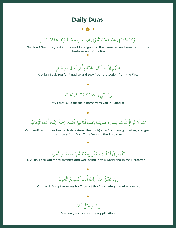## **Daily Duas**

### $\bullet$   $\bullet$   $\bullet$

### رَبّنا ءاتِنا فِي الدُّنيا حَسَنَةً وَفِي الءاخِرَةِ حَسَنَةً وَقِنا عَذابَ النّارِ **ا ا** ََ **ا ا** َّ **ا**

 $\overline{\phantom{a}}$ 

ِ

Our Lord! Grant us good in this world and good in the hereafter, and save us from the chastisement of the fire.

> اللَّهُمَّ إِنِّي أَسْأَلُكَ الْجُنَّةَ وَأَعُوذُ بِكَ مِنَ النّارِ َِّ بِ **ا** أ َ َّ َ ا بالمسلمان المسلمان المسلمان المسلمان المسلمان المسلمان المسلمان المسلمان المسلمان المسلمان المسلمان المسلمان<br>المسلمان المسلمان المسلمان المسلمان المسلمان المسلمان المسلمان المسلمان المسلمان المسلمان المسلمان المسلمان ال المستقبل المستقبل المستقبل المستقبل المستقبل المستقبل المستقبل المستقبل المستقبل المستقبل المستقبل المستقبل ال<br>المستقبل المستقبل المستقبل المستقبل المستقبل المستقبل المستقبل المستقبل المستقبل المستقبل المستقبل المستقبل ال � َ **الله المسلمان المسلمان المسلمان المسلمان المسلمان المسلمان المسلمان المسلمان المسلمان المسلمان المسلمان المسل ا** َّ

O Allah, I ask You for Paradise and seek Your protection from the Fire.

### رَبِّ ابْنِ لِى عِندَكَ بَيْتًا فِى الْجَنّةِ َّ َ ا بالمسلمان المسلمان المسلمان المسلمان المسلمان المسلمان المسلمان المسلمان المسلمان المسلمان المسلمان المسلمان<br>المسلمان المسلمان المسلمان المسلمان المسلمان المسلمان المسلمان المسلمان المسلمان المسلمان المسلمان المسلمان ال **ا**<br>ا ֧֦֧֦֧֦֧֦֧֦֧֦֧֦֧֦֧֦֧֘֒֝֝֝֝֝֬<u>֦֖֚</u><br>֧֪֧֝ َ **ا**

My Lord! Build for me a home with You in Paradise.

ُ ةً إِنَّكَ أَنْتَ الْوَهَابُ ֧֦֧֦֧֦֧֚֚֝<u>֓</u> رَبّنَا لَا تُزِغْ قُلُوبَنَا بَعْدَ إِذْ هَدَيْتَنَا وَهَبْ لَنَا مِنْ لَدُنْكَ رَحْمَ ؚ<br>ۣ **ا** َ**ا ا الله على المناسب المناسب المناسب المناسب المناسب المناسب المناسب المناسب المناسب المناسب المناسب المناسب المن** َ **ا ا** المستقبل المستقبل المستقبل المستقبل المستقبل المستقبل المستقبل المستقبل المستقبل المستقبل المستقبل المستقبل ال<br>المستقبل المستقبل المستقبل المستقبل المستقبل المستقبل المستقبل المستقبل المستقبل المستقبل المستقبل المستقبل ال ُ ؚ<br>֧֧֖֧֝֟֟֓֝֟֟֓֕֝֟֓֝֬֟֩֩֟֓<u>֚</u> ُ َّ **ا** 

Our Lord! Let not our hearts deviate (from the truth) after You have guided us, and grant us mercy from You. Truly, You are the Bestower.

### اللَّهُمَّ إِنِّي أَسْأَلُكَ الْعَفْوَ وَالْعَافِيَةَ فِي الدُّنْيَا وَالآخِرَةِ **ا** َا<br>ا ֧֚֝֟֟֓֕֝֟֟֟֓֝֬֝֓֝֬֝֓֝֬֝֬֝֬֝֬֝֬֝֓֝֬֝֟֓֝֬֝֬֝ **ا** َ ُ � ؚ<br>ا ؚ<br>֧֖֧֦֧֦֧֦֦֧֧֦֧֦֧֦֧֦֧֝֟֩֟֓֟֓֕֓֕֝֬֝֟֓֝֬֟֩֓֝֬֝֬֟֩֓֝֬֝֬֟֩֓<br>֧֝ َ َّ

۰

O Allah, I ask You for forgiveness and well-being in this world and in the Hereafter.



Our Lord! Accept from us: For Thou art the All-Hearing, the All-knowing.



Our Lord, and accept my supplication.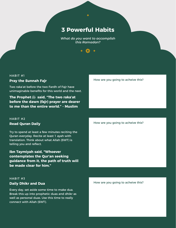## **3 Powerful Habits**

*What do you want to accomplish this Ramadan?*



Two raka'at before the two Fardh of Fajr have unimaginable benefits for this world and the next.

**The Prophet said, "The two raka'at before the dawn (fajr) prayer are dearer to me than the entire world." - Muslim**

### HABIT #2 **Read Quran Daily**

Try to spend at least a few minutes reciting the Quran everyday. Recite at least 1 ayah with translation. Think about what Allah (SWT) is telling you and reflect.

**Ibn Taymiyah said, "Whoever contemplates the Qur'an seeking guidance from it, the path of truth will be made clear for him."** 

### HABIT #3 **Daily Dhikr and Dua**

Every day, set aside some time to make dua. Break this up into prophetic duas and dhikr as well as personal duas. Use this time to really connect with Allah (SWT).

### How are you going to acheive this?

### How are you going to acheive this?

How are you going to acheive this?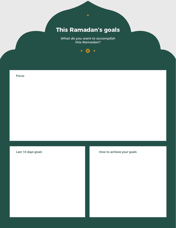## **This Ramadan's goals**

*What do you want to accomplish this Ramadan?*



Focus

### Last 10 days goals and the state of the How to achieve your goals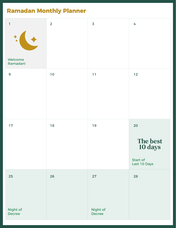## **Ramadan Monthly Planner**

| $\mathbf 1$               | $\overline{2}$ | $\overline{\mathbf{3}}$   | 4                                                     |
|---------------------------|----------------|---------------------------|-------------------------------------------------------|
| Welcome<br>Ramadan!       |                |                           |                                                       |
| $\mathbf{9}$              | $10$           | 11                        | $12$                                                  |
| 17                        | 18             | 19                        | 20<br>The best<br>10 days<br>Start of<br>Last 10 Days |
| 25                        | 26             | 27                        | 28                                                    |
| Night of<br><b>Decree</b> |                | Night of<br><b>Decree</b> |                                                       |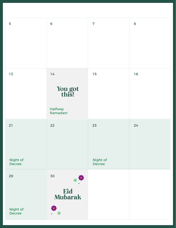| 5                         | $6\phantom{1}6$            | $\overline{7}$            | 8  |
|---------------------------|----------------------------|---------------------------|----|
|                           |                            |                           |    |
| 13                        | 14                         | 15                        | 16 |
|                           | You got<br>this!           |                           |    |
|                           | <b>Halfway</b><br>Ramadan! |                           |    |
| 21                        | 22                         | 23                        | 24 |
|                           |                            |                           |    |
| Night of<br><b>Decree</b> |                            | Night of<br><b>Decree</b> |    |
| 29                        | 30                         |                           |    |
|                           | Eid<br><b>Mubarak</b>      |                           |    |
| Night of<br><b>Decree</b> |                            |                           |    |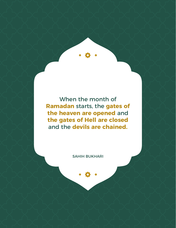When the month of **Ramadan** starts, the **gates of the heaven are opened** and **the gates of Hell are closed** and the **devils are chained.** 

SAHIH BUKHARI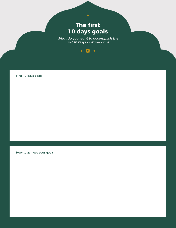## **The first 10 days goals**

 $\blacklozenge$ 

*What do you want to accomplish the first 10 Days of Ramadan?*



First 10 days goals

How to achieve your goals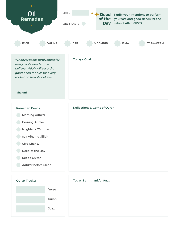



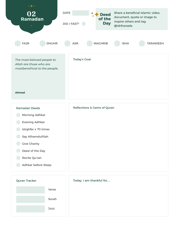



| Today, I am thankful for |  |  |
|--------------------------|--|--|
|                          |  |  |
|                          |  |  |
|                          |  |  |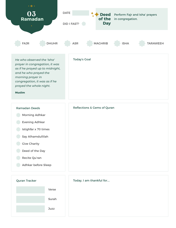



| Today, I am thankful for |  |
|--------------------------|--|
|                          |  |
|                          |  |
|                          |  |
|                          |  |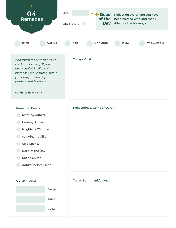



| Today, I am thankful for |  |  |
|--------------------------|--|--|
|                          |  |  |
|                          |  |  |
|                          |  |  |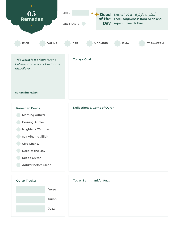



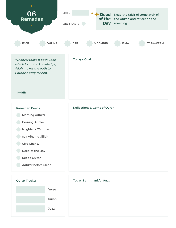



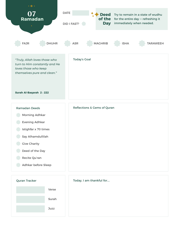



| Today, I am thankful for |  |
|--------------------------|--|
|                          |  |
|                          |  |
|                          |  |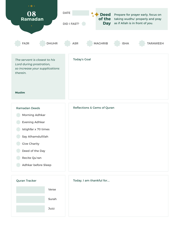



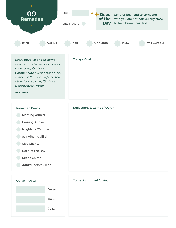



| Today, I am thankful for |  |
|--------------------------|--|
|                          |  |
|                          |  |
|                          |  |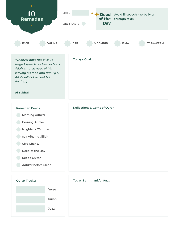



| Today, I am thankful for |  |
|--------------------------|--|
|                          |  |
|                          |  |
|                          |  |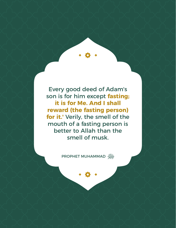Every good deed of Adam's son is for him except **fasting; it is for Me. And I shall reward (the fasting person) for it.'** Verily, the smell of the mouth of a fasting person is better to Allah than the smell of musk.

PROPHET MUHAMMAD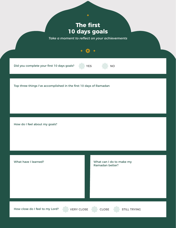## **The first 10 days goals**

*Take a moment to reflect on your achievements*

YES NO

Did you complete your first 10 days goals?

Top three things I've accomplished in the first 10 days of Ramadan

How do I feel about my goals?

What have I learned?

What can I do to make my Ramadan better?

How close do I feel to my Lord? VERY CLOSE CLOSE STILL TRYING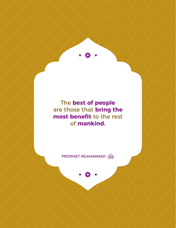The **best of people** are those that **bring the most benefit** to the rest of **mankind.**

PROPHET MUHAMMAD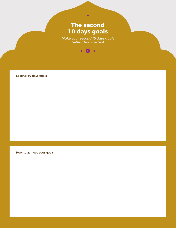## **The second 10 days goals**

 $\blacklozenge$ 

*Make your second 10 days goals better than the first*



Second 10 days goals

How to achieve your goals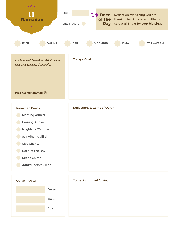

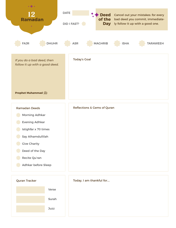

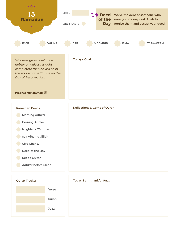

Surah Juzz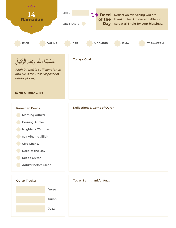



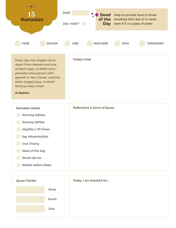

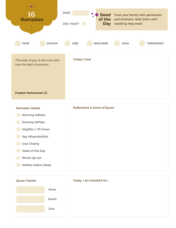

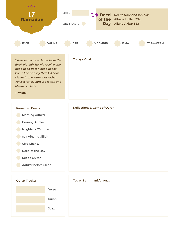

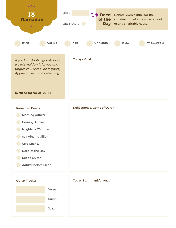

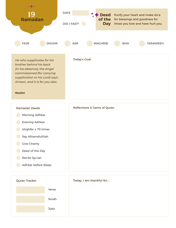



**Juzz**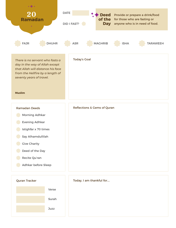

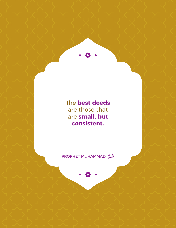The **best deeds** are those that are **small, but consistent.**

PROPHET MUHAMMAD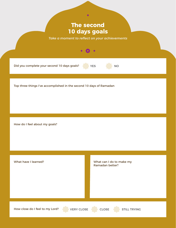## **The second 10 days goals**

*Take a moment to reflect on your achievements*

 $\bullet$   $\bullet$   $\bullet$ 

YES NO



Top three things I've accomplished in the second 10 days of Ramadan

How do I feel about my goals?

What have I learned?

What can I do to make my Ramadan better?

How close do I feel to my Lord? VERY CLOSE CLOSE STILL TRYING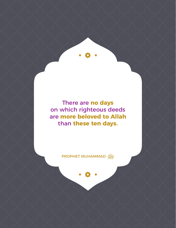There are **no days**  on which righteous deeds are **more beloved to Allah**  than **these ten days.**

PROPHET MUHAMMAD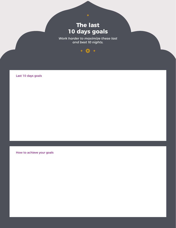## **The last 10 days goals**

*Work harder to maximize these last and best 10 nights.*



Last 10 days goals

How to achieve your goals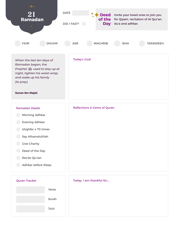

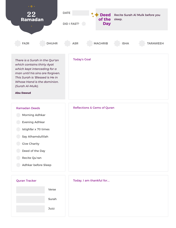



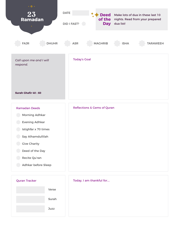

| <b>Ramadan Deeds</b>  | <b>Reflections &amp; Gems of Quran</b> |
|-----------------------|----------------------------------------|
| <b>Morning Adhkar</b> |                                        |
| <b>Evening Adhkar</b> |                                        |
| Istighfar x 70 times  |                                        |
| Say Alhamdullilah     |                                        |
| <b>Give Charity</b>   |                                        |
| Deed of the Day       |                                        |
| Recite Qu'ran         |                                        |
| Adhkar before Sleep   |                                        |



|  | Today, I am thankful for |
|--|--------------------------|
|  |                          |
|  |                          |
|  |                          |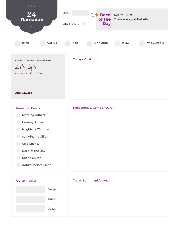

| <b>Ramadan Deeds</b>  | <b>Reflections &amp; Gems of Quran</b> |
|-----------------------|----------------------------------------|
| <b>Morning Adhkar</b> |                                        |
| <b>Evening Adhkar</b> |                                        |
| Istighfar x 70 times  |                                        |
| Say Alhamdullilah     |                                        |
| <b>Give Charity</b>   |                                        |
| Deed of the Day       |                                        |
| Recite Qu'ran         |                                        |
| Adhkar before Sleep   |                                        |



| Today, I am thankful for |  |  |
|--------------------------|--|--|
|                          |  |  |
|                          |  |  |
|                          |  |  |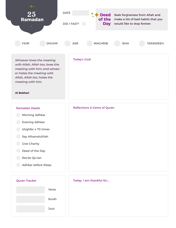



| Today, I am thankful for |  |
|--------------------------|--|
|                          |  |
|                          |  |
|                          |  |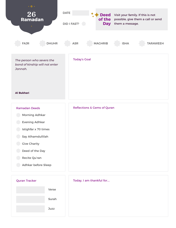

- **Evening Adhkar**
- Istighfar x 70 times
- Say Alhamdullilah
- **Give Charity**
- Deed of the Day
- Recite Qu'ran
- Adhkar before Sleep





| Today, I am thankful for |  |
|--------------------------|--|
|                          |  |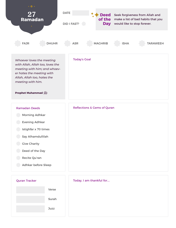



| Today, I am thankful for |  |
|--------------------------|--|
|                          |  |
|                          |  |
|                          |  |
|                          |  |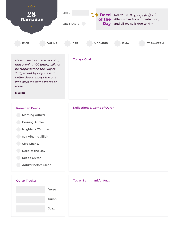

| <b>Quran Tracker</b> |       |
|----------------------|-------|
|                      | Verse |
|                      | Surah |
|                      | Juzz  |
|                      |       |

| Today, I am thankful for |  |
|--------------------------|--|
|                          |  |
|                          |  |
|                          |  |
|                          |  |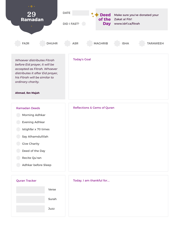

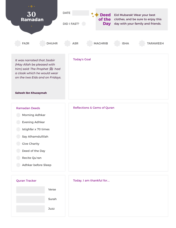



| Today, I am thankful for |  |  |
|--------------------------|--|--|
|                          |  |  |
|                          |  |  |
|                          |  |  |
|                          |  |  |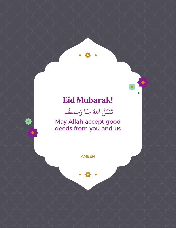## **Eid Mubarak!**



May Allah accept good deeds from you and us

AMEEN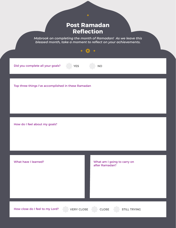## **Post Ramadan Reflection**

*Mabrook on completing the month of Ramadan! As we leave this blessed month, take a moment to reflect on your achievements.*

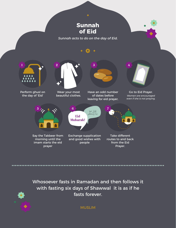

*Sunnah acts to do on the day of Eid.*



Whosoever fasts in Ramadan and then follows it with fasting six days of Shawwal it is as if he fasts forever.

MUSLIM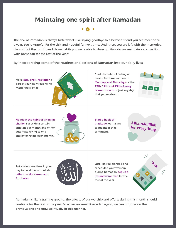## **Maintaing one spirit after Ramadan**

The end of Ramadan is always bittersweet, like saying goodbye to a beloved friend you see meet once a year. You're grateful for the visit and hopeful for next time. Until then, you are left with the memories, the spirit of the month and those habits you were able to develop. How do we maintain a connection with Ramadan for the rest of the year?

By incorporating some of the routines and actions of Ramadan into our daily lives.

Make dua, dhikr, recitation a part of your daily routine no matter how small.



Start the habit of fasting at least a few times a month. Mondays and Thursdays or the 13th, 14th and 15th of every Islamic month, or just any day that you're able to.



Maintain the habit of giving in charity. Set aside a certain amount per month and either automate giving to one charity or rotate each month.



Start a habit of gratitude journaling to maintain that sentiment.

**Alhamdullilah for everything**

Put aside some time in your day to be alone with Allah, reflect on His Names and Attributes.



Just like you planned and scheduled your worship during Ramadan, set up a less intensive plan for the rest of the year.



Ramadan is like a training ground, the effects of our worship and efforts during this month should continue for the rest of the year. So when we meet Ramadan again, we can improve on the previous one and grow spiritually in this manner.